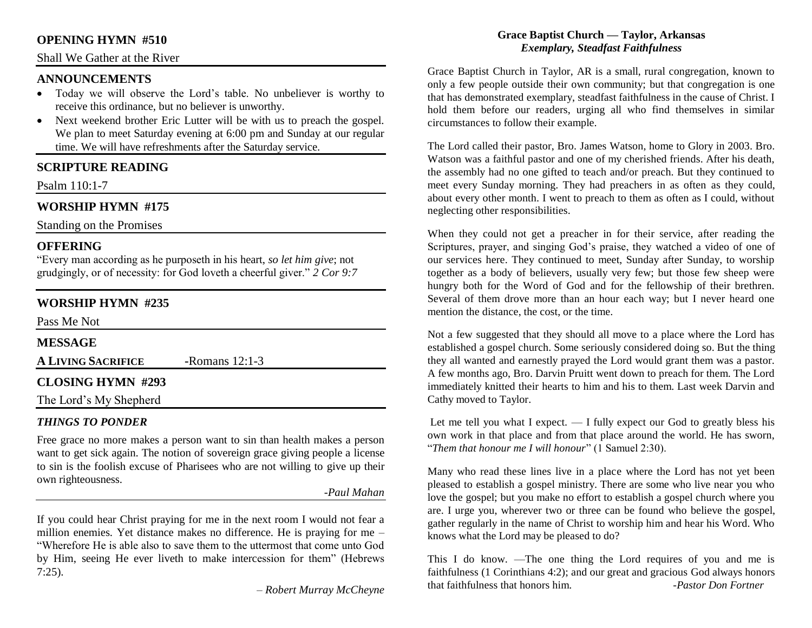#### **OPENING HYMN #510**

#### Shall We Gather at the River

#### **ANNOUNCEMENTS**

- Today we will observe the Lord's table. No unbeliever is worthy to receive this ordinance, but no believer is unworthy.
- Next weekend brother Eric Lutter will be with us to preach the gospel. We plan to meet Saturday evening at 6:00 pm and Sunday at our regular time. We will have refreshments after the Saturday service.

# **SCRIPTURE READING**

Psalm 110:1-7

# **WORSHIP HYMN #175**

Standing on the Promises

#### **OFFERING**

"Every man according as he purposeth in his heart, *so let him give*; not grudgingly, or of necessity: for God loveth a cheerful giver." *2 Cor 9:7*

# **WORSHIP HYMN #235**

Pass Me Not

## **MESSAGE**

**A LIVING SACRIFICE -**Romans 12:1-3

## **CLOSING HYMN #293**

The Lord's My Shepherd

## *THINGS TO PONDER*

Free grace no more makes a person want to sin than health makes a person want to get sick again. The notion of sovereign grace giving people a license to sin is the foolish excuse of Pharisees who are not willing to give up their own righteousness.

#### *-Paul Mahan*

If you could hear Christ praying for me in the next room I would not fear a million enemies. Yet distance makes no difference. He is praying for me – "Wherefore He is able also to save them to the uttermost that come unto God by Him, seeing He ever liveth to make intercession for them" (Hebrews 7:25).

*– Robert Murray McCheyne*

#### **Grace Baptist Church — Taylor, Arkansas** *Exemplary, Steadfast Faithfulness*

Grace Baptist Church in Taylor, AR is a small, rural congregation, known to only a few people outside their own community; but that congregation is one that has demonstrated exemplary, steadfast faithfulness in the cause of Christ. I hold them before our readers, urging all who find themselves in similar circumstances to follow their example.

The Lord called their pastor, Bro. James Watson, home to Glory in 2003. Bro. Watson was a faithful pastor and one of my cherished friends. After his death, the assembly had no one gifted to teach and/or preach. But they continued to meet every Sunday morning. They had preachers in as often as they could, about every other month. I went to preach to them as often as I could, without neglecting other responsibilities.

When they could not get a preacher in for their service, after reading the Scriptures, prayer, and singing God's praise, they watched a video of one of our services here. They continued to meet, Sunday after Sunday, to worship together as a body of believers, usually very few; but those few sheep were hungry both for the Word of God and for the fellowship of their brethren. Several of them drove more than an hour each way; but I never heard one mention the distance, the cost, or the time.

Not a few suggested that they should all move to a place where the Lord has established a gospel church. Some seriously considered doing so. But the thing they all wanted and earnestly prayed the Lord would grant them was a pastor. A few months ago, Bro. Darvin Pruitt went down to preach for them. The Lord immediately knitted their hearts to him and his to them. Last week Darvin and Cathy moved to Taylor.

Let me tell you what I expect.  $-$  I fully expect our God to greatly bless his own work in that place and from that place around the world. He has sworn, "*Them that honour me I will honour*" (1 Samuel 2:30).

Many who read these lines live in a place where the Lord has not yet been pleased to establish a gospel ministry. There are some who live near you who love the gospel; but you make no effort to establish a gospel church where you are. I urge you, wherever two or three can be found who believe the gospel, gather regularly in the name of Christ to worship him and hear his Word. Who knows what the Lord may be pleased to do?

This I do know. —The one thing the Lord requires of you and me is faithfulness (1 Corinthians 4:2); and our great and gracious God always honors that faithfulness that honors him. *-Pastor Don Fortner*